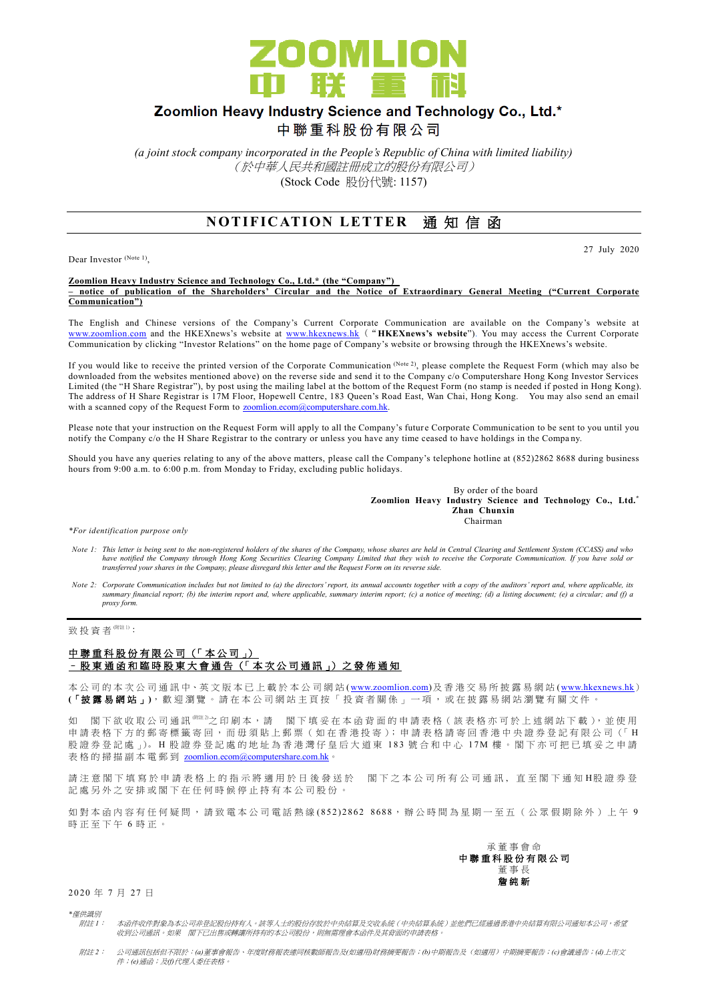

# Zoomlion Heavy Industry Science and Technology Co., Ltd.\*

中聯重科股份有限公司

*(a joint stock company incorporated in the People's Republic of China with limited liability)* (於中華人民共和國註冊成立的股份有限公司) (Stock Code 股份代號: 1157)

### **NOTIFICATION LETTER 通知信函**

Dear Investor (Note 1),

27 July 2020

#### **Zoomlion Heavy Industry Science and Technology Co., Ltd.\* (the "Company") – notice of publication of the Shareholders' Circular and the Notice of Extraordinary General Meeting ("Current Corporate Communication")**

The English and Chinese versions of the Company's Current Corporate Communication are available on the Company's website at [www.zoomlion.com](http://www.zoomlion.com/) and the HKEXnews's website at [www.hkexnews.hk](http://www.hkexnews.hk/) ("**HKEXnews's website**"). You may access the Current Corporate Communication by clicking "Investor Relations" on the home page of Company's website or browsing through the HKEXnews's website.

If you would like to receive the printed version of the Corporate Communication  $^{(Note 2)}$ , please complete the Request Form (which may also be downloaded from the websites mentioned above) on the reverse side and send it to the Company c/o Computershare Hong Kong Investor Services Limited (the "H Share Registrar"), by post using the mailing label at the bottom of the Request Form (no stamp is needed if posted in Hong Kong). The address of H Share Registrar is 17M Floor, Hopewell Centre, 183 Queen's Road East, Wan Chai, Hong Kong. You may also send an email with a scanned copy of the Request Form to **zoomlion.ecom@computershare.com.hk.** 

Please note that your instruction on the Request Form will apply to all the Company's future Corporate Communication to be sent to you until you notify the Company c/o the H Share Registrar to the contrary or unless you have any time ceased to have holdings in the Compa ny.

Should you have any queries relating to any of the above matters, please call the Company's telephone hotline at (852)2862 8688 during business hours from 9:00 a.m. to 6:00 p.m. from Monday to Friday, excluding public holidays.

> By order of the board **Zoomlion Heavy Industry Science and Technology Co., Ltd.\* Zhan Chunxin** Chairman

*\*For identification purpose only*

- *Note 1: This letter is being sent to the non-registered holders of the shares of the Company, whose shares are held in Central Clearing and Settlement System (CCASS) and who*  have notified the Company through Hong Kong Securities Clearing Company Limited that they wish to receive the Corporate Communication. If you have sold or<br>transferred your shares in the Company, please disregard this lette
- *Note 2:* Corporate Communication includes but not limited to (a) the directors' report, its annual accounts together with a copy of the auditors' report and, where applicable, its *summary financial report; (b) the interim report and, where applicable, summary interim report; (c) a notice of meeting; (d) a listing document; (e) a circular; and (f) a summary financial report; (b) the interim report a proxy form.*

致投資者 $<sup>(Mät1)</sup>$ :</sup>

### 中聯重科股份有限公司 (「本公司」) – 股 東 通 函 和 臨 時 股 東 大 會 通 告 (「 本 次 公 司 通 訊 」) 之 發 佈 通 知

本公司的 本 次 公 司 通 訊 中、英 文 版 本 已 上 載於本 公 司 網 站 [\(www.zoomlion.com\)](http://www.zoomlion.com/)及香港交易所披露易網站 [\(www.hkexnews.hk](http://www.hkexnews.hk/)) **(**「披露易網站 」**)**,歡迎瀏覽。 請 在 本 公 司 網 站 主 頁 按 「 投 資 者 關 係 」 一 項 , 或 在 披 露 易 網 站 瀏 覽 有 關 文 件 。

如 閣下欲收取公司通訊 《 <sup>《 # a )。立使用 图下填妥在本函背面的申請表格(該表格亦可於上述網站下載),並使用</sup> 申請表格下方的郵寄標籤寄回,而毋須貼上郵票(如在香港投寄);申請表格請寄回香港中央證券登記有限公司(「H 股證券登記處 」)。H股證券登記處的地址為香港灣仔皇后大道東 183號合和中心 17M樓。閣下亦可把已填妥之申請 表格的掃描副本電郵到 [zoomlion.ecom@computershare.com.hk](mailto:zoomlion.ecom@computershare.com.hk)。

請 注 意 閣 下 埴 寫 於 申 譜 表 格 上 的 指 示 將 滴 用 於 日 後 發 送 於 閣 下 之 本 公 司 所 有 公 司 诵 訊 , 直 至 閣 下 诵 知 H 股 證 券 登 記處另外之安排或閣下在任何時候停止持有本公司股份。

如對本函內容有任何疑問,請致電本公司電話熱線(852) 2862 8688,辦公時間為星期一至五(公眾假期除外)上午 9 時正至下午 6 時正。



2 0 20 年 7 月 27 日

*\**僅供識別

附註 *1*: 本函件收件對象為本公司非登記股份持有人。該等人士的股份存放於中央結算及交收系統(中央結算系統)並他們已經通過香港中央結算有限公司通知本公司,希望 收到公司通訊。如果 閣下已出售或轉讓所持有的本公司股份,則無需理會本函件及其背面的申請表格。

附註 *2*: 公司通訊包括但不限於:*(a)*董事會報告、年度財務報表連同核數師報告及*(*如適用*)*財務摘要報告;*(b)*中期報告及(如適用)中期摘要報告;*(c)*會議通告;*(d)*上市文 件;*(e)*通函;及*(f)*代理人委任表格。